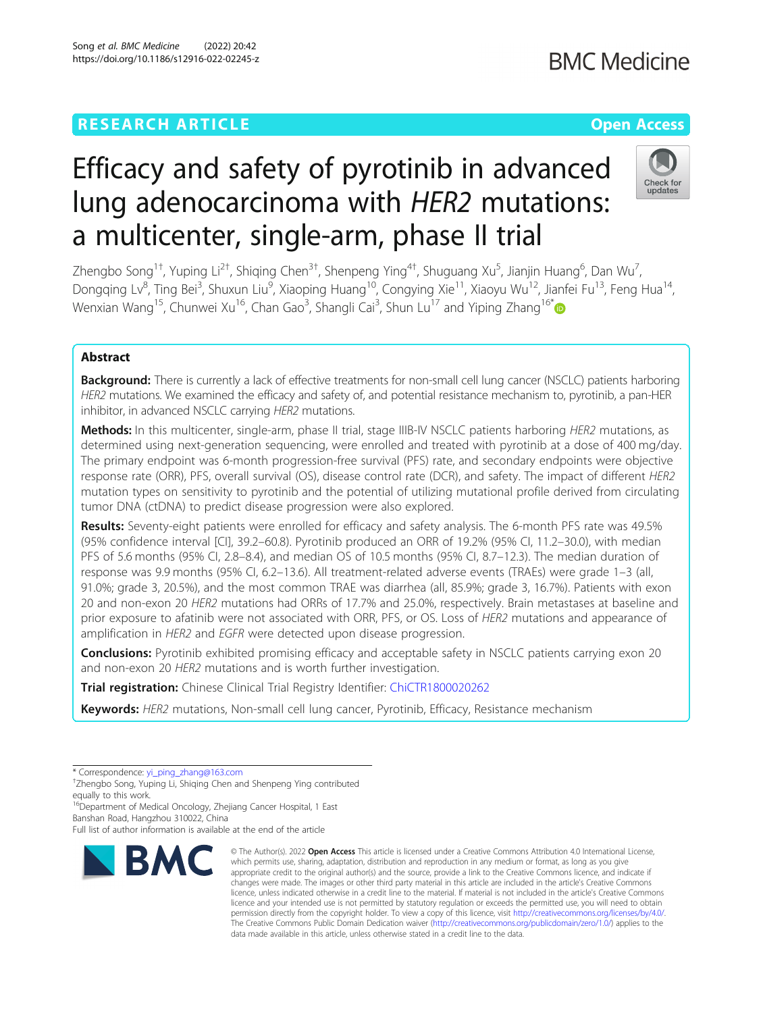# Efficacy and safety of pyrotinib in advanced lung adenocarcinoma with HER2 mutations: a multicenter, single-arm, phase II trial

Zhengbo Song<sup>1†</sup>, Yuping Li<sup>2†</sup>, Shiqing Chen<sup>3†</sup>, Shenpeng Ying<sup>4†</sup>, Shuguang Xu<sup>5</sup>, Jianjin Huang<sup>6</sup>, Dan Wu<sup>7</sup> , Dongqing Lv<sup>8</sup>, Ting Bei<sup>3</sup>, Shuxun Liu<sup>9</sup>, Xiaoping Huang<sup>10</sup>, Congying Xie<sup>11</sup>, Xiaoyu Wu<sup>12</sup>, Jianfei Fu<sup>13</sup>, Feng Hua<sup>14</sup>, Wenxian Wang<sup>15</sup>, Chunwei Xu<sup>16</sup>, Chan Gao<sup>3</sup>, Shangli Cai<sup>3</sup>, Shun Lu<sup>17</sup> and Yiping Zhang<sup>16\*</sup>

## Abstract

Background: There is currently a lack of effective treatments for non-small cell lung cancer (NSCLC) patients harboring HER2 mutations. We examined the efficacy and safety of, and potential resistance mechanism to, pyrotinib, a pan-HER inhibitor, in advanced NSCLC carrying HER2 mutations.

Methods: In this multicenter, single-arm, phase II trial, stage IIIB-IV NSCLC patients harboring HER2 mutations, as determined using next-generation sequencing, were enrolled and treated with pyrotinib at a dose of 400 mg/day. The primary endpoint was 6-month progression-free survival (PFS) rate, and secondary endpoints were objective response rate (ORR), PFS, overall survival (OS), disease control rate (DCR), and safety. The impact of different HER2 mutation types on sensitivity to pyrotinib and the potential of utilizing mutational profile derived from circulating tumor DNA (ctDNA) to predict disease progression were also explored.

Results: Seventy-eight patients were enrolled for efficacy and safety analysis. The 6-month PFS rate was 49.5% (95% confidence interval [CI], 39.2–60.8). Pyrotinib produced an ORR of 19.2% (95% CI, 11.2–30.0), with median PFS of 5.6 months (95% CI, 2.8–8.4), and median OS of 10.5 months (95% CI, 8.7–12.3). The median duration of response was 9.9 months (95% CI, 6.2–13.6). All treatment-related adverse events (TRAEs) were grade 1–3 (all, 91.0%; grade 3, 20.5%), and the most common TRAE was diarrhea (all, 85.9%; grade 3, 16.7%). Patients with exon 20 and non-exon 20 HER2 mutations had ORRs of 17.7% and 25.0%, respectively. Brain metastases at baseline and prior exposure to afatinib were not associated with ORR, PFS, or OS. Loss of HER2 mutations and appearance of amplification in HER2 and EGFR were detected upon disease progression.

**Conclusions:** Pyrotinib exhibited promising efficacy and acceptable safety in NSCLC patients carrying exon 20 and non-exon 20 HER2 mutations and is worth further investigation.

**Trial registration:** Chinese Clinical Trial Registry Identifier: [ChiCTR1800020262](http://www.chictr.org.cn/showproj.aspx?proj=34111)

Keywords: HER2 mutations, Non-small cell lung cancer, Pyrotinib, Efficacy, Resistance mechanism

\* Correspondence: [yi\\_ping\\_zhang@163.com](mailto:yi_ping_zhang@163.com) †

<sup>+</sup>Zhengbo Song, Yuping Li, Shiqing Chen and Shenpeng Ying contributed equally to this work.

<sup>16</sup>Department of Medical Oncology, Zhejiang Cancer Hospital, 1 East Banshan Road, Hangzhou 310022, China

Full list of author information is available at the end of the article



<sup>©</sup> The Author(s), 2022 **Open Access** This article is licensed under a Creative Commons Attribution 4.0 International License, which permits use, sharing, adaptation, distribution and reproduction in any medium or format, as long as you give appropriate credit to the original author(s) and the source, provide a link to the Creative Commons licence, and indicate if changes were made. The images or other third party material in this article are included in the article's Creative Commons licence, unless indicated otherwise in a credit line to the material. If material is not included in the article's Creative Commons licence and your intended use is not permitted by statutory regulation or exceeds the permitted use, you will need to obtain permission directly from the copyright holder. To view a copy of this licence, visit [http://creativecommons.org/licenses/by/4.0/.](http://creativecommons.org/licenses/by/4.0/) The Creative Commons Public Domain Dedication waiver [\(http://creativecommons.org/publicdomain/zero/1.0/](http://creativecommons.org/publicdomain/zero/1.0/)) applies to the data made available in this article, unless otherwise stated in a credit line to the data.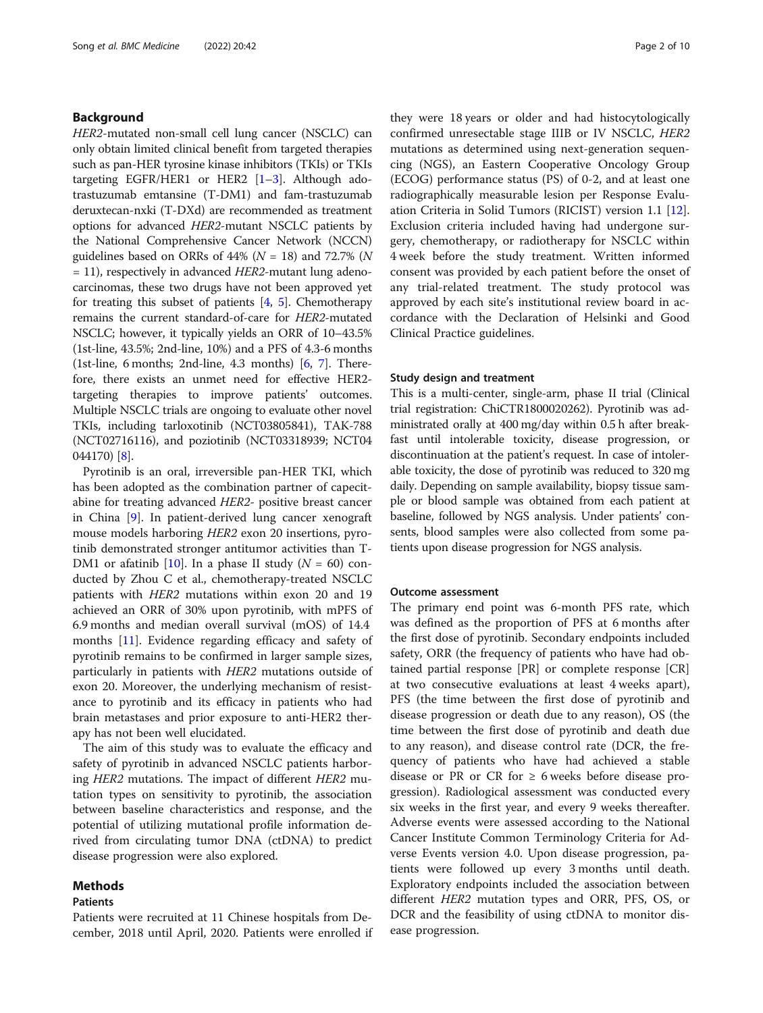## Background

HER2-mutated non-small cell lung cancer (NSCLC) can only obtain limited clinical benefit from targeted therapies such as pan-HER tyrosine kinase inhibitors (TKIs) or TKIs targeting EGFR/HER1 or HER2  $[1-3]$  $[1-3]$  $[1-3]$ . Although adotrastuzumab emtansine (T-DM1) and fam-trastuzumab deruxtecan-nxki (T-DXd) are recommended as treatment options for advanced HER2-mutant NSCLC patients by the National Comprehensive Cancer Network (NCCN) guidelines based on ORRs of  $44\%$  ( $N = 18$ ) and 72.7% ( $N$  $= 11$ ), respectively in advanced HER2-mutant lung adenocarcinomas, these two drugs have not been approved yet for treating this subset of patients  $[4, 5]$  $[4, 5]$  $[4, 5]$ . Chemotherapy remains the current standard-of-care for HER2-mutated NSCLC; however, it typically yields an ORR of 10–43.5% (1st-line, 43.5%; 2nd-line, 10%) and a PFS of 4.3-6 months (1st-line, 6 months; 2nd-line, 4.3 months) [\[6,](#page-8-0) [7](#page-8-0)]. Therefore, there exists an unmet need for effective HER2 targeting therapies to improve patients' outcomes. Multiple NSCLC trials are ongoing to evaluate other novel TKIs, including tarloxotinib (NCT03805841), TAK-788 (NCT02716116), and poziotinib (NCT03318939; NCT04 044170) [\[8](#page-8-0)].

Pyrotinib is an oral, irreversible pan-HER TKI, which has been adopted as the combination partner of capecitabine for treating advanced HER2- positive breast cancer in China [[9\]](#page-8-0). In patient-derived lung cancer xenograft mouse models harboring HER2 exon 20 insertions, pyrotinib demonstrated stronger antitumor activities than T-DM1 or afatinib [[10\]](#page-8-0). In a phase II study  $(N = 60)$  conducted by Zhou C et al., chemotherapy-treated NSCLC patients with HER2 mutations within exon 20 and 19 achieved an ORR of 30% upon pyrotinib, with mPFS of 6.9 months and median overall survival (mOS) of 14.4 months [[11](#page-8-0)]. Evidence regarding efficacy and safety of pyrotinib remains to be confirmed in larger sample sizes, particularly in patients with HER2 mutations outside of exon 20. Moreover, the underlying mechanism of resistance to pyrotinib and its efficacy in patients who had brain metastases and prior exposure to anti-HER2 therapy has not been well elucidated.

The aim of this study was to evaluate the efficacy and safety of pyrotinib in advanced NSCLC patients harboring HER2 mutations. The impact of different HER2 mutation types on sensitivity to pyrotinib, the association between baseline characteristics and response, and the potential of utilizing mutational profile information derived from circulating tumor DNA (ctDNA) to predict disease progression were also explored.

## Methods

## Patients

Patients were recruited at 11 Chinese hospitals from December, 2018 until April, 2020. Patients were enrolled if

they were 18 years or older and had histocytologically confirmed unresectable stage IIIB or IV NSCLC, HER2 mutations as determined using next-generation sequencing (NGS), an Eastern Cooperative Oncology Group (ECOG) performance status (PS) of 0-2, and at least one radiographically measurable lesion per Response Evaluation Criteria in Solid Tumors (RICIST) version 1.1 [\[12](#page-8-0)]. Exclusion criteria included having had undergone surgery, chemotherapy, or radiotherapy for NSCLC within 4 week before the study treatment. Written informed consent was provided by each patient before the onset of any trial-related treatment. The study protocol was approved by each site's institutional review board in accordance with the Declaration of Helsinki and Good Clinical Practice guidelines.

#### Study design and treatment

This is a multi-center, single-arm, phase II trial (Clinical trial registration: ChiCTR1800020262). Pyrotinib was administrated orally at 400 mg/day within 0.5 h after breakfast until intolerable toxicity, disease progression, or discontinuation at the patient's request. In case of intolerable toxicity, the dose of pyrotinib was reduced to 320 mg daily. Depending on sample availability, biopsy tissue sample or blood sample was obtained from each patient at baseline, followed by NGS analysis. Under patients' consents, blood samples were also collected from some patients upon disease progression for NGS analysis.

#### Outcome assessment

The primary end point was 6-month PFS rate, which was defined as the proportion of PFS at 6 months after the first dose of pyrotinib. Secondary endpoints included safety, ORR (the frequency of patients who have had obtained partial response [PR] or complete response [CR] at two consecutive evaluations at least 4 weeks apart), PFS (the time between the first dose of pyrotinib and disease progression or death due to any reason), OS (the time between the first dose of pyrotinib and death due to any reason), and disease control rate (DCR, the frequency of patients who have had achieved a stable disease or PR or CR for  $\geq 6$  weeks before disease progression). Radiological assessment was conducted every six weeks in the first year, and every 9 weeks thereafter. Adverse events were assessed according to the National Cancer Institute Common Terminology Criteria for Adverse Events version 4.0. Upon disease progression, patients were followed up every 3 months until death. Exploratory endpoints included the association between different HER2 mutation types and ORR, PFS, OS, or DCR and the feasibility of using ctDNA to monitor disease progression.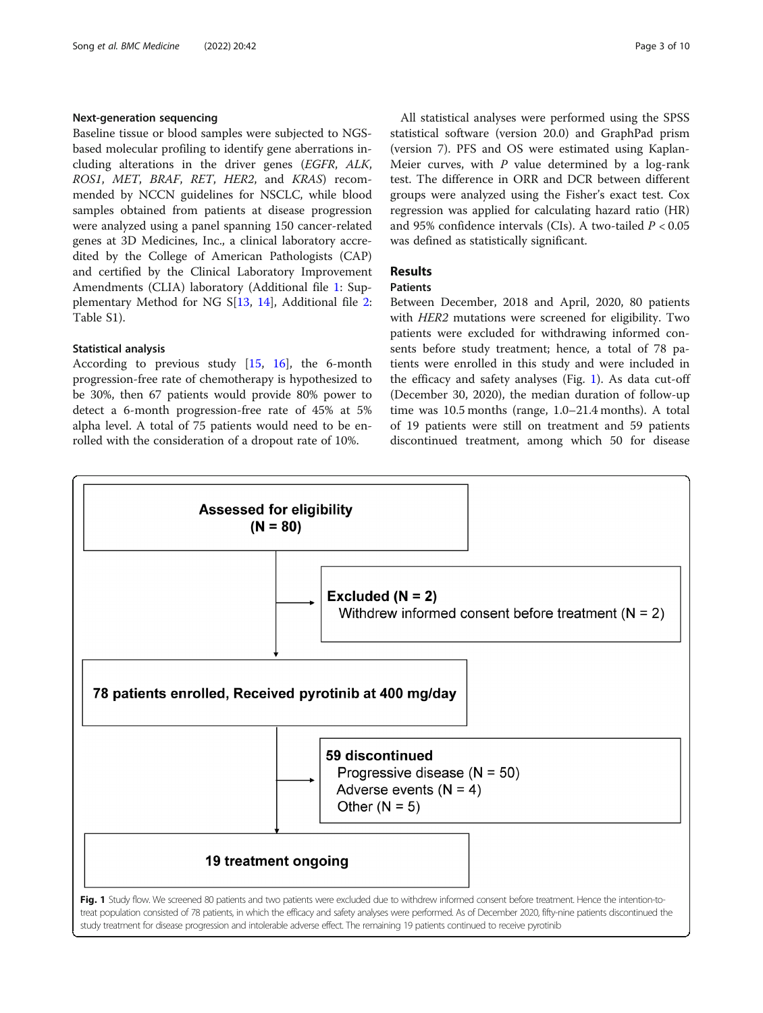#### Next-generation sequencing

Baseline tissue or blood samples were subjected to NGSbased molecular profiling to identify gene aberrations including alterations in the driver genes (EGFR, ALK, ROS1, MET, BRAF, RET, HER2, and KRAS) recommended by NCCN guidelines for NSCLC, while blood samples obtained from patients at disease progression were analyzed using a panel spanning 150 cancer-related genes at 3D Medicines, Inc., a clinical laboratory accredited by the College of American Pathologists (CAP) and certified by the Clinical Laboratory Improvement Amendments (CLIA) laboratory (Additional file [1](#page-7-0): Supplementary Method for NG S[\[13,](#page-8-0) [14\]](#page-8-0), Additional file [2](#page-7-0): Table S1).

## Statistical analysis

According to previous study  $[15, 16]$  $[15, 16]$  $[15, 16]$ , the 6-month progression-free rate of chemotherapy is hypothesized to be 30%, then 67 patients would provide 80% power to detect a 6-month progression-free rate of 45% at 5% alpha level. A total of 75 patients would need to be enrolled with the consideration of a dropout rate of 10%.

All statistical analyses were performed using the SPSS statistical software (version 20.0) and GraphPad prism (version 7). PFS and OS were estimated using Kaplan-Meier curves, with  $P$  value determined by a log-rank test. The difference in ORR and DCR between different groups were analyzed using the Fisher's exact test. Cox regression was applied for calculating hazard ratio (HR) and 95% confidence intervals (CIs). A two-tailed  $P < 0.05$ was defined as statistically significant.

## Results

## Patients

Between December, 2018 and April, 2020, 80 patients with HER2 mutations were screened for eligibility. Two patients were excluded for withdrawing informed consents before study treatment; hence, a total of 78 patients were enrolled in this study and were included in the efficacy and safety analyses (Fig. 1). As data cut-off (December 30, 2020), the median duration of follow-up time was 10.5 months (range, 1.0–21.4 months). A total of 19 patients were still on treatment and 59 patients discontinued treatment, among which 50 for disease



study treatment for disease progression and intolerable adverse effect. The remaining 19 patients continued to receive pyrotinib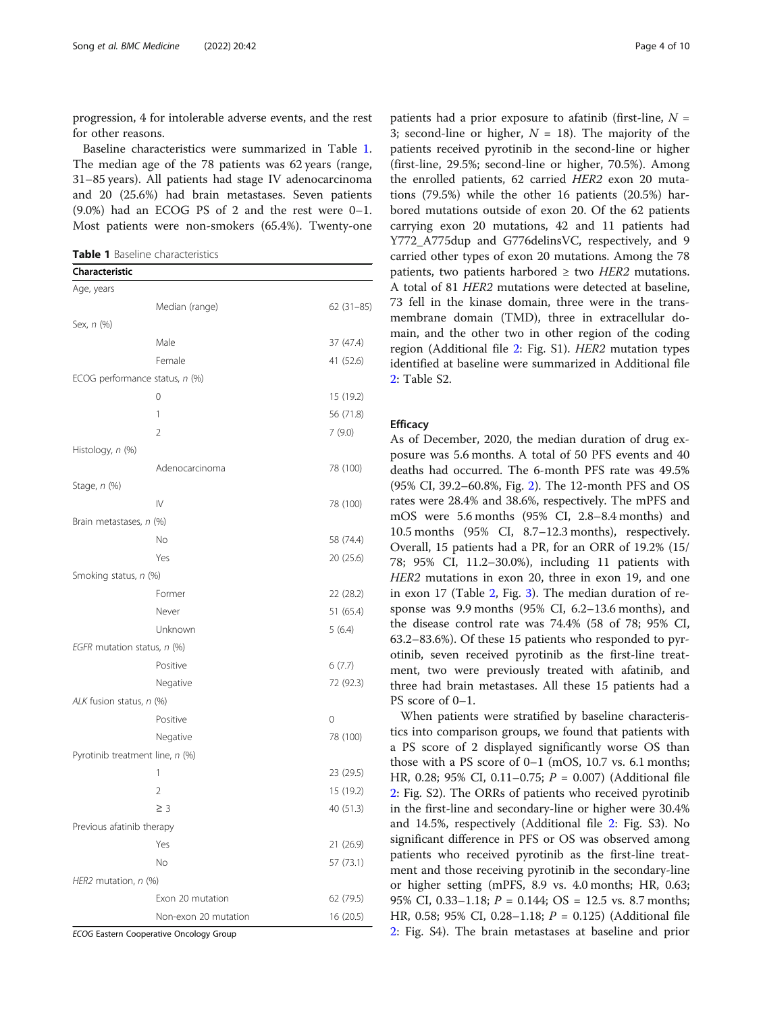progression, 4 for intolerable adverse events, and the rest for other reasons.

Baseline characteristics were summarized in Table 1. The median age of the 78 patients was 62 years (range, 31–85 years). All patients had stage IV adenocarcinoma and 20 (25.6%) had brain metastases. Seven patients (9.0%) had an ECOG PS of 2 and the rest were 0–1. Most patients were non-smokers (65.4%). Twenty-one

Table 1 Baseline characteristics

Characteristics<sup>1</sup>

| Characteristic                  |                      |             |
|---------------------------------|----------------------|-------------|
| Age, years                      |                      |             |
|                                 | Median (range)       | $62(31-85)$ |
| Sex, n (%)                      |                      |             |
|                                 | Male                 | 37 (47.4)   |
|                                 | Female               | 41 (52.6)   |
| ECOG performance status, n (%)  |                      |             |
|                                 | $\overline{0}$       | 15 (19.2)   |
|                                 | 1                    | 56 (71.8)   |
|                                 | $\overline{2}$       | 7(9.0)      |
| Histology, n (%)                |                      |             |
|                                 | Adenocarcinoma       | 78 (100)    |
| Stage, n (%)                    |                      |             |
|                                 | $\mathsf{IV}$        | 78 (100)    |
| Brain metastases, n (%)         |                      |             |
|                                 | No                   | 58 (74.4)   |
|                                 | Yes                  | 20 (25.6)   |
| Smoking status, n (%)           |                      |             |
|                                 | Former               | 22 (28.2)   |
|                                 | Never                | 51 (65.4)   |
|                                 | Unknown              | 5(6.4)      |
| EGFR mutation status, n (%)     |                      |             |
|                                 | Positive             | 6(7.7)      |
|                                 | Negative             | 72 (92.3)   |
| ALK fusion status, n (%)        |                      |             |
|                                 | Positive             | $\Omega$    |
|                                 | Negative             | 78 (100)    |
| Pyrotinib treatment line, n (%) |                      |             |
|                                 | 1                    | 23 (29.5)   |
|                                 | $\overline{2}$       | 15 (19.2)   |
|                                 | $\geq$ 3             | 40 (51.3)   |
| Previous afatinib therapy       |                      |             |
|                                 | Yes                  | 21 (26.9)   |
|                                 | No                   | 57 (73.1)   |
| HER2 mutation, n (%)            |                      |             |
|                                 | Exon 20 mutation     | 62 (79.5)   |
|                                 | Non-exon 20 mutation | 16 (20.5)   |

ECOG Eastern Cooperative Oncology Group

patients had a prior exposure to afatinib (first-line,  $N =$ 3; second-line or higher,  $N = 18$ ). The majority of the patients received pyrotinib in the second-line or higher (first-line, 29.5%; second-line or higher, 70.5%). Among the enrolled patients, 62 carried HER2 exon 20 mutations (79.5%) while the other 16 patients (20.5%) harbored mutations outside of exon 20. Of the 62 patients carrying exon 20 mutations, 42 and 11 patients had Y772\_A775dup and G776delinsVC, respectively, and 9 carried other types of exon 20 mutations. Among the 78 patients, two patients harbored  $\geq$  two HER2 mutations. A total of 81 HER2 mutations were detected at baseline, 73 fell in the kinase domain, three were in the transmembrane domain (TMD), three in extracellular domain, and the other two in other region of the coding region (Additional file [2:](#page-7-0) Fig. S1). HER2 mutation types identified at baseline were summarized in Additional file [2:](#page-7-0) Table S2.

#### **Efficacy**

As of December, 2020, the median duration of drug exposure was 5.6 months. A total of 50 PFS events and 40 deaths had occurred. The 6-month PFS rate was 49.5% (95% CI, 39.2–60.8%, Fig. [2](#page-4-0)). The 12-month PFS and OS rates were 28.4% and 38.6%, respectively. The mPFS and mOS were 5.6 months (95% CI, 2.8–8.4 months) and 10.5 months (95% CI, 8.7–12.3 months), respectively. Overall, 15 patients had a PR, for an ORR of 19.2% (15/ 78; 95% CI, 11.2–30.0%), including 11 patients with HER2 mutations in exon 20, three in exon 19, and one in exon 17 (Table [2,](#page-4-0) Fig. [3](#page-5-0)). The median duration of response was 9.9 months (95% CI, 6.2–13.6 months), and the disease control rate was 74.4% (58 of 78; 95% CI, 63.2–83.6%). Of these 15 patients who responded to pyrotinib, seven received pyrotinib as the first-line treatment, two were previously treated with afatinib, and three had brain metastases. All these 15 patients had a PS score of 0–1.

When patients were stratified by baseline characteristics into comparison groups, we found that patients with a PS score of 2 displayed significantly worse OS than those with a PS score of 0–1 (mOS, 10.7 vs. 6.1 months; HR, 0.28; 95% CI, 0.11-0.75;  $P = 0.007$ ) (Additional file [2:](#page-7-0) Fig. S2). The ORRs of patients who received pyrotinib in the first-line and secondary-line or higher were 30.4% and 14.5%, respectively (Additional file [2](#page-7-0): Fig. S3). No significant difference in PFS or OS was observed among patients who received pyrotinib as the first-line treatment and those receiving pyrotinib in the secondary-line or higher setting (mPFS, 8.9 vs. 4.0 months; HR, 0.63; 95% CI, 0.33–1.18;  $P = 0.144$ ; OS = 12.5 vs. 8.7 months; HR, 0.58; 95% CI, 0.28–1.18; P = 0.125) (Additional file [2:](#page-7-0) Fig. S4). The brain metastases at baseline and prior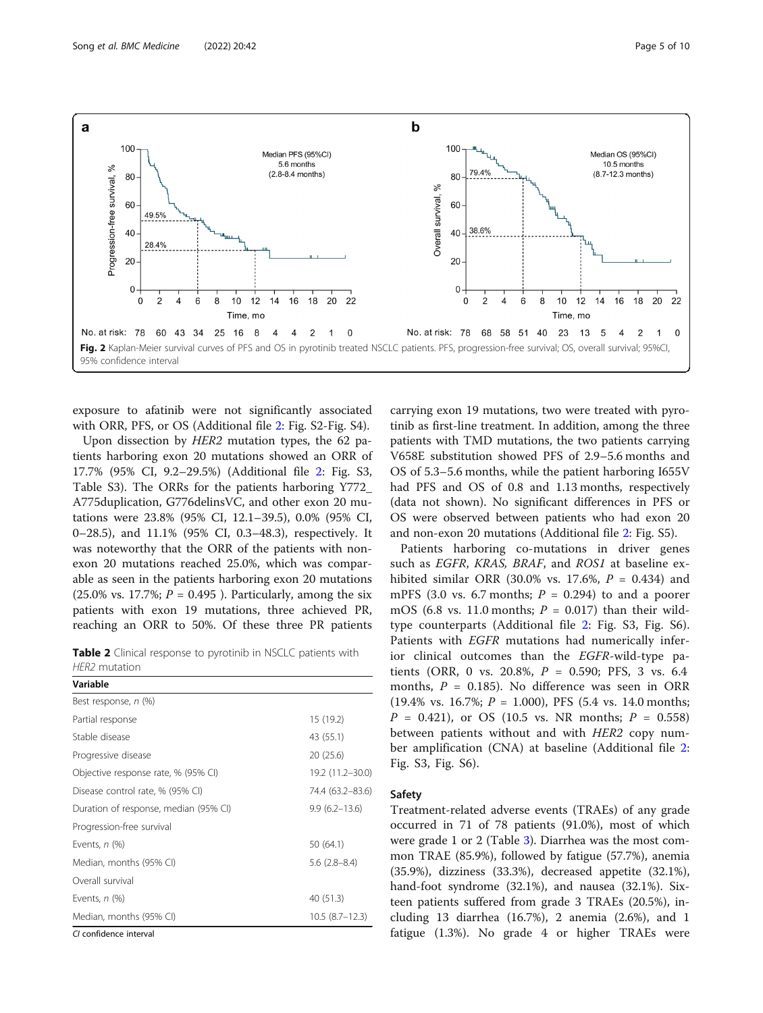

<span id="page-4-0"></span>

exposure to afatinib were not significantly associated with ORR, PFS, or OS (Additional file [2:](#page-7-0) Fig. S2-Fig. S4).

Upon dissection by HER2 mutation types, the 62 patients harboring exon 20 mutations showed an ORR of 17.7% (95% CI, 9.2–29.5%) (Additional file [2:](#page-7-0) Fig. S3, Table S3). The ORRs for the patients harboring Y772\_ A775duplication, G776delinsVC, and other exon 20 mutations were 23.8% (95% CI, 12.1–39.5), 0.0% (95% CI, 0–28.5), and 11.1% (95% CI, 0.3–48.3), respectively. It was noteworthy that the ORR of the patients with nonexon 20 mutations reached 25.0%, which was comparable as seen in the patients harboring exon 20 mutations (25.0% vs. 17.7%;  $P = 0.495$ ). Particularly, among the six patients with exon 19 mutations, three achieved PR, reaching an ORR to 50%. Of these three PR patients

Table 2 Clinical response to pyrotinib in NSCLC patients with HER2 mutation

| Variable                              |                   |
|---------------------------------------|-------------------|
| Best response, n (%)                  |                   |
| Partial response                      | 15 (19.2)         |
| Stable disease                        | 43 (55.1)         |
| Progressive disease                   | 20(25.6)          |
| Objective response rate, % (95% CI)   | 19.2 (11.2-30.0)  |
| Disease control rate, % (95% CI)      | 74.4 (63.2–83.6)  |
| Duration of response, median (95% CI) | $9.9(6.2 - 13.6)$ |
| Progression-free survival             |                   |
| Events, $n$ (%)                       | 50 (64.1)         |
| Median, months (95% CI)               | $5.6(2.8-8.4)$    |
| Overall survival                      |                   |
| Events, $n$ $(\%)$                    | 40 (51.3)         |
| Median, months (95% CI)               | $10.5(8.7-12.3)$  |
| Class Calvage Consultation            |                   |

CI confidence interval

carrying exon 19 mutations, two were treated with pyrotinib as first-line treatment. In addition, among the three patients with TMD mutations, the two patients carrying V658E substitution showed PFS of 2.9–5.6 months and OS of 5.3–5.6 months, while the patient harboring I655V had PFS and OS of 0.8 and 1.13 months, respectively (data not shown). No significant differences in PFS or OS were observed between patients who had exon 20 and non-exon 20 mutations (Additional file [2](#page-7-0): Fig. S5).

Patients harboring co-mutations in driver genes such as EGFR, KRAS, BRAF, and ROS1 at baseline exhibited similar ORR (30.0% vs. 17.6%,  $P = 0.434$ ) and mPFS (3.0 vs. 6.7 months;  $P = 0.294$ ) to and a poorer mOS (6.8 vs. 11.0 months;  $P = 0.017$ ) than their wildtype counterparts (Additional file [2](#page-7-0): Fig. S3, Fig. S6). Patients with EGFR mutations had numerically inferior clinical outcomes than the EGFR-wild-type patients (ORR, 0 vs. 20.8%,  $P = 0.590$ ; PFS, 3 vs. 6.4 months,  $P = 0.185$ ). No difference was seen in ORR  $(19.4\% \text{ vs. } 16.7\%; P = 1.000), PFS (5.4 \text{ vs. } 14.0 \text{ months};$  $P = 0.421$ , or OS (10.5 vs. NR months;  $P = 0.558$ ) between patients without and with HER2 copy number amplification (CNA) at baseline (Additional file [2](#page-7-0): Fig. S3, Fig. S6).

#### Safety

Treatment-related adverse events (TRAEs) of any grade occurred in 71 of 78 patients (91.0%), most of which were grade 1 or 2 (Table [3\)](#page-5-0). Diarrhea was the most common TRAE (85.9%), followed by fatigue (57.7%), anemia (35.9%), dizziness (33.3%), decreased appetite (32.1%), hand-foot syndrome (32.1%), and nausea (32.1%). Sixteen patients suffered from grade 3 TRAEs (20.5%), including 13 diarrhea (16.7%), 2 anemia (2.6%), and 1 fatigue (1.3%). No grade 4 or higher TRAEs were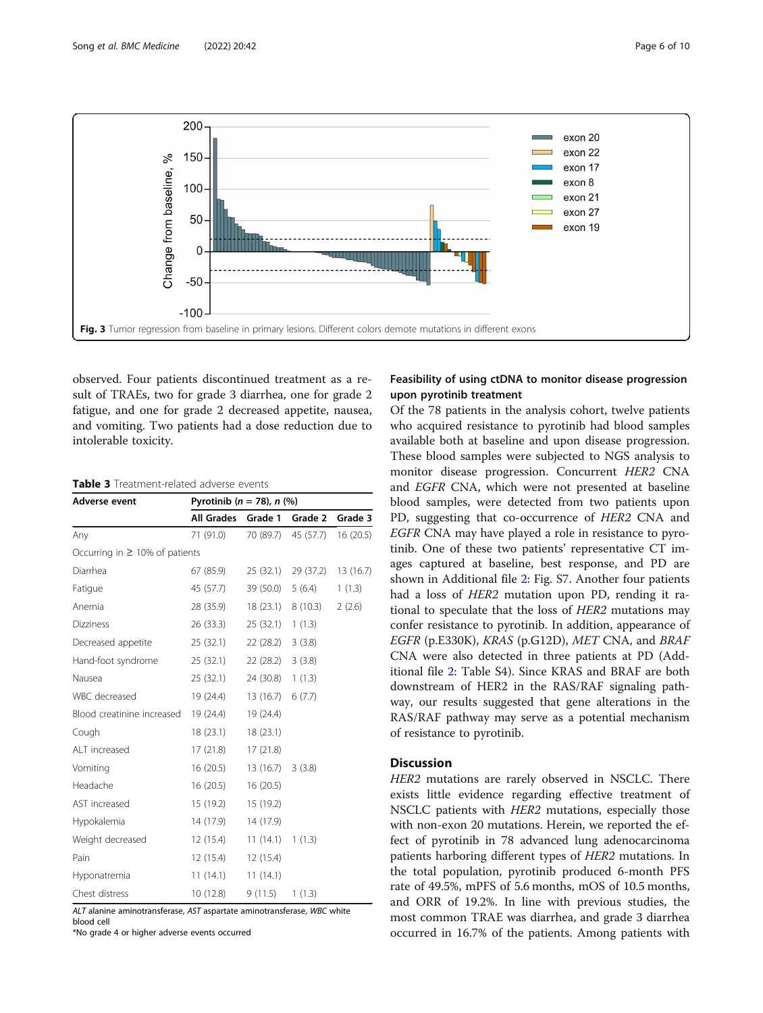<span id="page-5-0"></span>

observed. Four patients discontinued treatment as a result of TRAEs, two for grade 3 diarrhea, one for grade 2 fatigue, and one for grade 2 decreased appetite, nausea, and vomiting. Two patients had a dose reduction due to intolerable toxicity.

## Table 3 Treatment-related adverse events

| Adverse event                       | Pyrotinib ( $n = 78$ ), $n$ (%) |                    |                               |         |  |
|-------------------------------------|---------------------------------|--------------------|-------------------------------|---------|--|
|                                     | <b>All Grades</b>               | Grade 1            | Grade 2                       | Grade 3 |  |
| Any                                 | 71 (91.0)                       |                    | 70 (89.7) 45 (57.7) 16 (20.5) |         |  |
| Occurring in $\geq$ 10% of patients |                                 |                    |                               |         |  |
| Diarrhea                            | 67 (85.9)                       |                    | 25 (32.1) 29 (37.2) 13 (16.7) |         |  |
| Fatique                             | 45 (57.7)                       | 39 (50.0)          | 5(6.4)                        | 1(1.3)  |  |
| Anemia                              | 28 (35.9)                       |                    | 18 (23.1) 8 (10.3)            | 2(2.6)  |  |
| Dizziness                           | 26 (33.3)                       | 25(32.1) 1(1.3)    |                               |         |  |
| Decreased appetite                  | 25 (32.1)                       | $22(28.2)$ 3 (3.8) |                               |         |  |
| Hand-foot syndrome                  | 25 (32.1)                       | $22(28.2)$ 3 (3.8) |                               |         |  |
| Nausea                              | 25 (32.1)                       | 24(30.8) 1(1.3)    |                               |         |  |
| WBC decreased                       | 19 (24.4)                       | 13(16.7) 6(7.7)    |                               |         |  |
| Blood creatinine increased          | 19 (24.4)                       | 19 (24.4)          |                               |         |  |
| Cough                               | 18 (23.1)                       | 18(23.1)           |                               |         |  |
| ALT increased                       | 17 (21.8)                       | 17(21.8)           |                               |         |  |
| Vomiting                            | 16 (20.5)                       | $13(16.7)$ 3 (3.8) |                               |         |  |
| Headache                            | 16(20.5)                        | 16(20.5)           |                               |         |  |
| AST increased                       | 15 (19.2)                       | 15 (19.2)          |                               |         |  |
| Hypokalemia                         | 14 (17.9)                       | 14 (17.9)          |                               |         |  |
| Weight decreased                    | 12 (15.4)                       | 11(14.1) 1(1.3)    |                               |         |  |
| Pain                                | 12 (15.4)                       | 12 (15.4)          |                               |         |  |
| Hyponatremia                        | 11(14.1)                        | 11(14.1)           |                               |         |  |
| Chest distress                      | 10(12.8)                        | 9 (11.5)           | 1(1.3)                        |         |  |

ALT alanine aminotransferase, AST aspartate aminotransferase, WBC white blood cell

\*No grade 4 or higher adverse events occurred

## Feasibility of using ctDNA to monitor disease progression upon pyrotinib treatment

Of the 78 patients in the analysis cohort, twelve patients who acquired resistance to pyrotinib had blood samples available both at baseline and upon disease progression. These blood samples were subjected to NGS analysis to monitor disease progression. Concurrent HER2 CNA and EGFR CNA, which were not presented at baseline blood samples, were detected from two patients upon PD, suggesting that co-occurrence of HER2 CNA and EGFR CNA may have played a role in resistance to pyrotinib. One of these two patients' representative CT images captured at baseline, best response, and PD are shown in Additional file [2:](#page-7-0) Fig. S7. Another four patients had a loss of HER2 mutation upon PD, rending it rational to speculate that the loss of HER2 mutations may confer resistance to pyrotinib. In addition, appearance of EGFR (p.E330K), KRAS (p.G12D), MET CNA, and BRAF CNA were also detected in three patients at PD (Additional file [2:](#page-7-0) Table S4). Since KRAS and BRAF are both downstream of HER2 in the RAS/RAF signaling pathway, our results suggested that gene alterations in the RAS/RAF pathway may serve as a potential mechanism of resistance to pyrotinib.

### **Discussion**

HER2 mutations are rarely observed in NSCLC. There exists little evidence regarding effective treatment of NSCLC patients with HER2 mutations, especially those with non-exon 20 mutations. Herein, we reported the effect of pyrotinib in 78 advanced lung adenocarcinoma patients harboring different types of HER2 mutations. In the total population, pyrotinib produced 6-month PFS rate of 49.5%, mPFS of 5.6 months, mOS of 10.5 months, and ORR of 19.2%. In line with previous studies, the most common TRAE was diarrhea, and grade 3 diarrhea occurred in 16.7% of the patients. Among patients with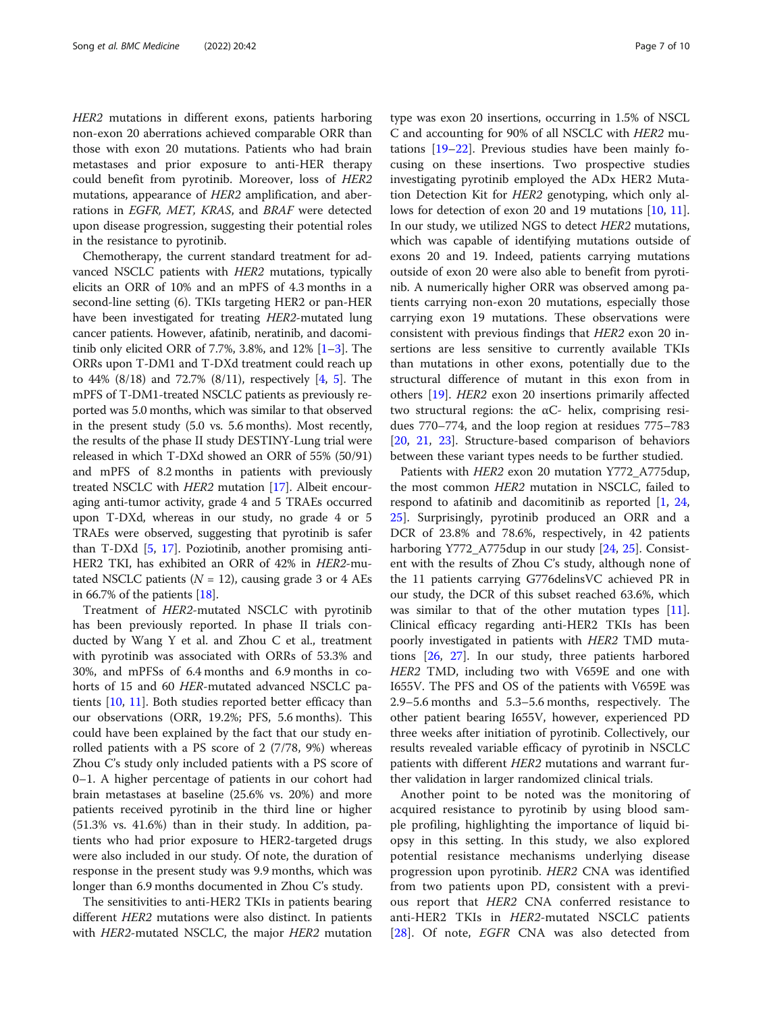HER2 mutations in different exons, patients harboring non-exon 20 aberrations achieved comparable ORR than those with exon 20 mutations. Patients who had brain metastases and prior exposure to anti-HER therapy could benefit from pyrotinib. Moreover, loss of HER2 mutations, appearance of HER2 amplification, and aberrations in EGFR, MET, KRAS, and BRAF were detected upon disease progression, suggesting their potential roles in the resistance to pyrotinib.

Chemotherapy, the current standard treatment for advanced NSCLC patients with HER2 mutations, typically elicits an ORR of 10% and an mPFS of 4.3 months in a second-line setting (6). TKIs targeting HER2 or pan-HER have been investigated for treating HER2-mutated lung cancer patients. However, afatinib, neratinib, and dacomitinib only elicited ORR of 7.7%, 3.8%, and 12% [[1](#page-8-0)–[3](#page-8-0)]. The ORRs upon T-DM1 and T-DXd treatment could reach up to 44% (8/18) and 72.7% (8/11), respectively [\[4,](#page-8-0) [5](#page-8-0)]. The mPFS of T-DM1-treated NSCLC patients as previously reported was 5.0 months, which was similar to that observed in the present study (5.0 vs. 5.6 months). Most recently, the results of the phase II study DESTINY-Lung trial were released in which T-DXd showed an ORR of 55% (50/91) and mPFS of 8.2 months in patients with previously treated NSCLC with HER2 mutation [\[17\]](#page-8-0). Albeit encouraging anti-tumor activity, grade 4 and 5 TRAEs occurred upon T-DXd, whereas in our study, no grade 4 or 5 TRAEs were observed, suggesting that pyrotinib is safer than T-DXd [\[5,](#page-8-0) [17\]](#page-8-0). Poziotinib, another promising anti-HER2 TKI, has exhibited an ORR of 42% in HER2-mutated NSCLC patients ( $N = 12$ ), causing grade 3 or 4 AEs in 66.7% of the patients  $[18]$  $[18]$  $[18]$ .

Treatment of HER2-mutated NSCLC with pyrotinib has been previously reported. In phase II trials conducted by Wang Y et al. and Zhou C et al., treatment with pyrotinib was associated with ORRs of 53.3% and 30%, and mPFSs of 6.4 months and 6.9 months in cohorts of 15 and 60 HER-mutated advanced NSCLC patients [[10](#page-8-0), [11\]](#page-8-0). Both studies reported better efficacy than our observations (ORR, 19.2%; PFS, 5.6 months). This could have been explained by the fact that our study enrolled patients with a PS score of 2 (7/78, 9%) whereas Zhou C's study only included patients with a PS score of 0–1. A higher percentage of patients in our cohort had brain metastases at baseline (25.6% vs. 20%) and more patients received pyrotinib in the third line or higher (51.3% vs. 41.6%) than in their study. In addition, patients who had prior exposure to HER2-targeted drugs were also included in our study. Of note, the duration of response in the present study was 9.9 months, which was longer than 6.9 months documented in Zhou C's study.

The sensitivities to anti-HER2 TKIs in patients bearing different HER2 mutations were also distinct. In patients with HER2-mutated NSCLC, the major HER2 mutation

type was exon 20 insertions, occurring in 1.5% of NSCL C and accounting for 90% of all NSCLC with HER2 mutations [\[19](#page-8-0)–[22\]](#page-9-0). Previous studies have been mainly focusing on these insertions. Two prospective studies investigating pyrotinib employed the ADx HER2 Mutation Detection Kit for HER2 genotyping, which only allows for detection of exon 20 and 19 mutations [\[10](#page-8-0), [11](#page-8-0)]. In our study, we utilized NGS to detect HER2 mutations, which was capable of identifying mutations outside of exons 20 and 19. Indeed, patients carrying mutations outside of exon 20 were also able to benefit from pyrotinib. A numerically higher ORR was observed among patients carrying non-exon 20 mutations, especially those carrying exon 19 mutations. These observations were consistent with previous findings that HER2 exon 20 insertions are less sensitive to currently available TKIs than mutations in other exons, potentially due to the structural difference of mutant in this exon from in others [\[19](#page-8-0)]. HER2 exon 20 insertions primarily affected two structural regions: the αC- helix, comprising residues 770–774, and the loop region at residues 775–783 [[20,](#page-8-0) [21](#page-9-0), [23](#page-9-0)]. Structure-based comparison of behaviors between these variant types needs to be further studied.

Patients with HER2 exon 20 mutation Y772\_A775dup, the most common HER2 mutation in NSCLC, failed to respond to afatinib and dacomitinib as reported [\[1](#page-8-0), [24](#page-9-0), [25\]](#page-9-0). Surprisingly, pyrotinib produced an ORR and a DCR of 23.8% and 78.6%, respectively, in 42 patients harboring Y772\_A775dup in our study [[24,](#page-9-0) [25\]](#page-9-0). Consistent with the results of Zhou C's study, although none of the 11 patients carrying G776delinsVC achieved PR in our study, the DCR of this subset reached 63.6%, which was similar to that of the other mutation types  $[11]$  $[11]$ . Clinical efficacy regarding anti-HER2 TKIs has been poorly investigated in patients with HER2 TMD mutations [[26,](#page-9-0) [27](#page-9-0)]. In our study, three patients harbored HER2 TMD, including two with V659E and one with I655V. The PFS and OS of the patients with V659E was 2.9–5.6 months and 5.3–5.6 months, respectively. The other patient bearing I655V, however, experienced PD three weeks after initiation of pyrotinib. Collectively, our results revealed variable efficacy of pyrotinib in NSCLC patients with different HER2 mutations and warrant further validation in larger randomized clinical trials.

Another point to be noted was the monitoring of acquired resistance to pyrotinib by using blood sample profiling, highlighting the importance of liquid biopsy in this setting. In this study, we also explored potential resistance mechanisms underlying disease progression upon pyrotinib. HER2 CNA was identified from two patients upon PD, consistent with a previous report that HER2 CNA conferred resistance to anti-HER2 TKIs in HER2-mutated NSCLC patients [[28\]](#page-9-0). Of note, *EGFR* CNA was also detected from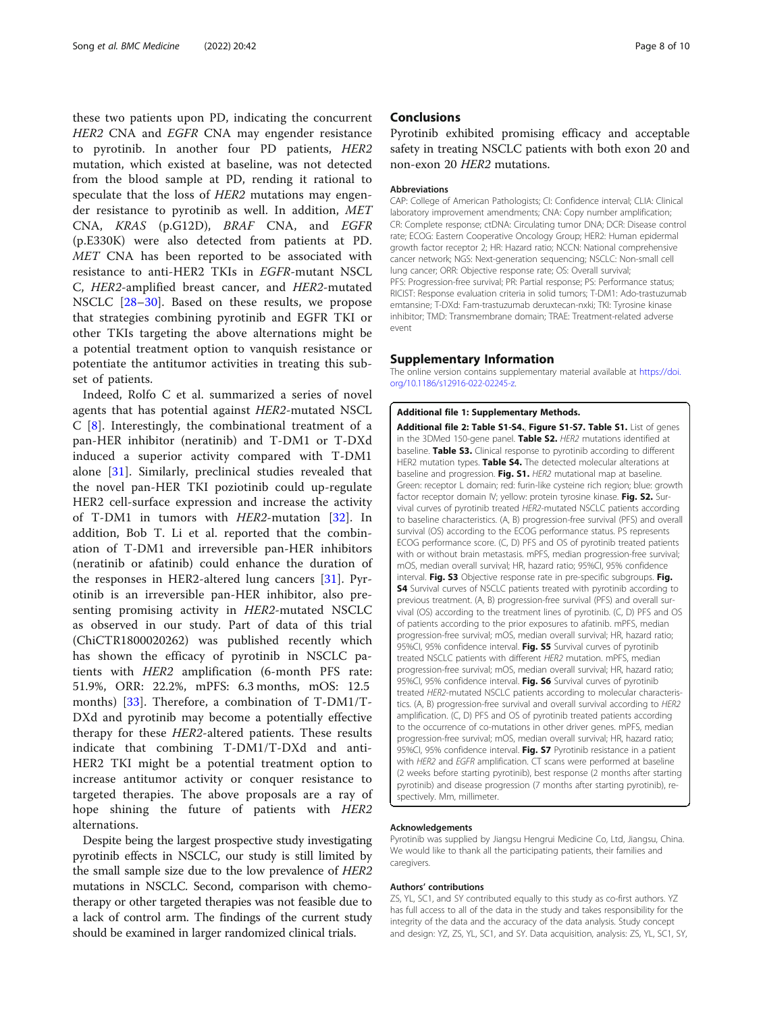<span id="page-7-0"></span>these two patients upon PD, indicating the concurrent HER2 CNA and EGFR CNA may engender resistance to pyrotinib. In another four PD patients, HER2 mutation, which existed at baseline, was not detected from the blood sample at PD, rending it rational to speculate that the loss of HER2 mutations may engender resistance to pyrotinib as well. In addition, MET CNA, KRAS (p.G12D), BRAF CNA, and EGFR (p.E330K) were also detected from patients at PD. MET CNA has been reported to be associated with resistance to anti-HER2 TKIs in EGFR-mutant NSCL C, HER2-amplified breast cancer, and HER2-mutated NSCLC [[28](#page-9-0)–[30](#page-9-0)]. Based on these results, we propose that strategies combining pyrotinib and EGFR TKI or other TKIs targeting the above alternations might be a potential treatment option to vanquish resistance or potentiate the antitumor activities in treating this subset of patients.

Indeed, Rolfo C et al. summarized a series of novel agents that has potential against HER2-mutated NSCL C [\[8](#page-8-0)]. Interestingly, the combinational treatment of a pan-HER inhibitor (neratinib) and T-DM1 or T-DXd induced a superior activity compared with T-DM1 alone [\[31\]](#page-9-0). Similarly, preclinical studies revealed that the novel pan-HER TKI poziotinib could up-regulate HER2 cell-surface expression and increase the activity of T-DM1 in tumors with HER2-mutation [[32\]](#page-9-0). In addition, Bob T. Li et al. reported that the combination of T-DM1 and irreversible pan-HER inhibitors (neratinib or afatinib) could enhance the duration of the responses in HER2-altered lung cancers [\[31](#page-9-0)]. Pyrotinib is an irreversible pan-HER inhibitor, also presenting promising activity in HER2-mutated NSCLC as observed in our study. Part of data of this trial (ChiCTR1800020262) was published recently which has shown the efficacy of pyrotinib in NSCLC patients with HER2 amplification (6-month PFS rate: 51.9%, ORR: 22.2%, mPFS: 6.3 months, mOS: 12.5 months) [\[33](#page-9-0)]. Therefore, a combination of T-DM1/T-DXd and pyrotinib may become a potentially effective therapy for these HER2-altered patients. These results indicate that combining T-DM1/T-DXd and anti-HER2 TKI might be a potential treatment option to increase antitumor activity or conquer resistance to targeted therapies. The above proposals are a ray of hope shining the future of patients with HER2 alternations.

Despite being the largest prospective study investigating pyrotinib effects in NSCLC, our study is still limited by the small sample size due to the low prevalence of HER2 mutations in NSCLC. Second, comparison with chemotherapy or other targeted therapies was not feasible due to a lack of control arm. The findings of the current study should be examined in larger randomized clinical trials.

### **Conclusions**

Pyrotinib exhibited promising efficacy and acceptable safety in treating NSCLC patients with both exon 20 and non-exon 20 HER2 mutations.

#### Abbreviations

CAP: College of American Pathologists; CI: Confidence interval; CLIA: Clinical laboratory improvement amendments; CNA: Copy number amplification; CR: Complete response; ctDNA: Circulating tumor DNA; DCR: Disease control rate; ECOG: Eastern Cooperative Oncology Group; HER2: Human epidermal growth factor receptor 2; HR: Hazard ratio; NCCN: National comprehensive cancer network; NGS: Next-generation sequencing; NSCLC: Non-small cell lung cancer; ORR: Objective response rate; OS: Overall survival; PFS: Progression-free survival; PR: Partial response; PS: Performance status; RICIST: Response evaluation criteria in solid tumors; T-DM1: Ado-trastuzumab emtansine; T-DXd: Fam-trastuzumab deruxtecan-nxki; TKI: Tyrosine kinase inhibitor; TMD: Transmembrane domain; TRAE: Treatment-related adverse event

#### Supplementary Information

The online version contains supplementary material available at [https://doi.](https://doi.org/10.1186/s12916-022-02245-z) [org/10.1186/s12916-022-02245-z](https://doi.org/10.1186/s12916-022-02245-z).

#### Additional file 1: Supplementary Methods.

Additional file 2: Table S1-S4., Figure S1-S7. Table S1. List of genes in the 3DMed 150-gene panel. Table S2. HER2 mutations identified at baseline. Table S3. Clinical response to pyrotinib according to different HER2 mutation types. Table S4. The detected molecular alterations at baseline and progression. Fig. S1. HER2 mutational map at baseline. Green: receptor L domain; red: furin-like cysteine rich region; blue: growth factor receptor domain IV; yellow: protein tyrosine kinase. Fig. S2. Survival curves of pyrotinib treated HER2-mutated NSCLC patients according to baseline characteristics. (A, B) progression-free survival (PFS) and overall survival (OS) according to the ECOG performance status. PS represents ECOG performance score. (C, D) PFS and OS of pyrotinib treated patients with or without brain metastasis. mPFS, median progression-free survival; mOS, median overall survival; HR, hazard ratio; 95%CI, 95% confidence interval. Fig. S3 Objective response rate in pre-specific subgroups. Fig. **S4** Survival curves of NSCLC patients treated with pyrotinib according to previous treatment. (A, B) progression-free survival (PFS) and overall survival (OS) according to the treatment lines of pyrotinib. (C, D) PFS and OS of patients according to the prior exposures to afatinib. mPFS, median progression-free survival; mOS, median overall survival; HR, hazard ratio; 95%CI, 95% confidence interval. Fig. S5 Survival curves of pyrotinib treated NSCLC patients with different HER2 mutation. mPFS, median progression-free survival; mOS, median overall survival; HR, hazard ratio; 95%CI, 95% confidence interval. Fig. S6 Survival curves of pyrotinib treated HER2-mutated NSCLC patients according to molecular characteristics. (A, B) progression-free survival and overall survival according to HER2 amplification. (C, D) PFS and OS of pyrotinib treated patients according to the occurrence of co-mutations in other driver genes. mPFS, median progression-free survival; mOS, median overall survival; HR, hazard ratio; 95%CI, 95% confidence interval. Fig. S7 Pyrotinib resistance in a patient with HER2 and EGFR amplification. CT scans were performed at baseline (2 weeks before starting pyrotinib), best response (2 months after starting pyrotinib) and disease progression (7 months after starting pyrotinib), respectively. Mm, millimeter.

#### Acknowledgements

Pyrotinib was supplied by Jiangsu Hengrui Medicine Co, Ltd, Jiangsu, China. We would like to thank all the participating patients, their families and caregivers.

#### Authors' contributions

ZS, YL, SC1, and SY contributed equally to this study as co-first authors. YZ has full access to all of the data in the study and takes responsibility for the integrity of the data and the accuracy of the data analysis. Study concept and design: YZ, ZS, YL, SC1, and SY. Data acquisition, analysis: ZS, YL, SC1, SY,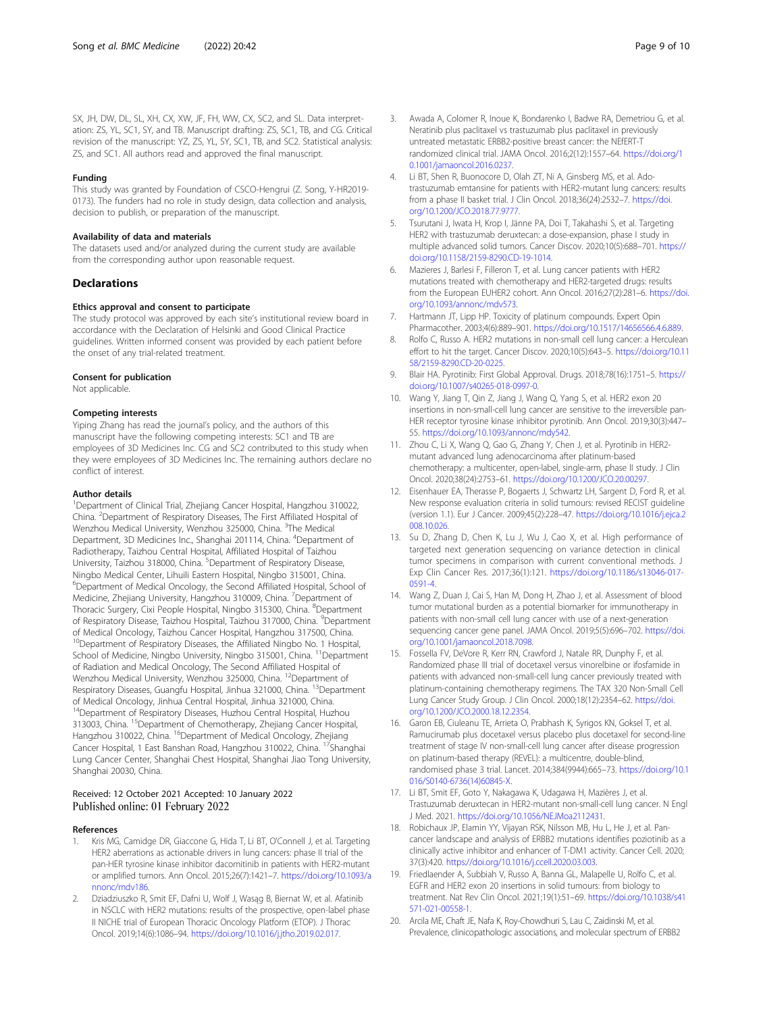#### <span id="page-8-0"></span>Funding

This study was granted by Foundation of CSCO-Hengrui (Z. Song, Y-HR2019- 0173). The funders had no role in study design, data collection and analysis, decision to publish, or preparation of the manuscript.

#### Availability of data and materials

The datasets used and/or analyzed during the current study are available from the corresponding author upon reasonable request.

#### **Declarations**

#### Ethics approval and consent to participate

The study protocol was approved by each site's institutional review board in accordance with the Declaration of Helsinki and Good Clinical Practice guidelines. Written informed consent was provided by each patient before the onset of any trial-related treatment.

#### Consent for publication

Not applicable.

#### Competing interests

Yiping Zhang has read the journal's policy, and the authors of this manuscript have the following competing interests: SC1 and TB are employees of 3D Medicines Inc. CG and SC2 contributed to this study when they were employees of 3D Medicines Inc. The remaining authors declare no conflict of interest.

#### Author details

<sup>1</sup>Department of Clinical Trial, Zhejiang Cancer Hospital, Hangzhou 310022, China. <sup>2</sup> Department of Respiratory Diseases, The First Affiliated Hospital of Wenzhou Medical University, Wenzhou 325000, China. <sup>3</sup>The Medical Department, 3D Medicines Inc., Shanghai 201114, China. <sup>4</sup>Department of Radiotherapy, Taizhou Central Hospital, Affiliated Hospital of Taizhou University, Taizhou 318000, China. <sup>5</sup>Department of Respiratory Disease, Ningbo Medical Center, Lihuili Eastern Hospital, Ningbo 315001, China. <sup>6</sup>Department of Medical Oncology, the Second Affiliated Hospital, School of Medicine, Zhejiang University, Hangzhou 310009, China. <sup>7</sup>Department of Thoracic Surgery, Cixi People Hospital, Ningbo 315300, China. <sup>8</sup>Department of Respiratory Disease, Taizhou Hospital, Taizhou 317000, China. <sup>9</sup>Department of Medical Oncology, Taizhou Cancer Hospital, Hangzhou 317500, China. <sup>10</sup>Department of Respiratory Diseases, the Affiliated Ningbo No. 1 Hospital, School of Medicine, Ningbo University, Ningbo 315001, China. <sup>11</sup> Department of Radiation and Medical Oncology, The Second Affiliated Hospital of Wenzhou Medical University, Wenzhou 325000, China. 12Department of Respiratory Diseases, Guangfu Hospital, Jinhua 321000, China. 13Department of Medical Oncology, Jinhua Central Hospital, Jinhua 321000, China. <sup>14</sup>Department of Respiratory Diseases, Huzhou Central Hospital, Huzhou 313003, China. 15Department of Chemotherapy, Zhejiang Cancer Hospital, Hangzhou 310022, China. <sup>16</sup>Department of Medical Oncology, Zhejiang Cancer Hospital, 1 East Banshan Road, Hangzhou 310022, China. <sup>17</sup>Shanghai Lung Cancer Center, Shanghai Chest Hospital, Shanghai Jiao Tong University, Shanghai 20030, China.

#### Received: 12 October 2021 Accepted: 10 January 2022 Published online: 01 February 2022

#### References

- 1. Kris MG, Camidge DR, Giaccone G, Hida T, Li BT, O'Connell J, et al. Targeting HER2 aberrations as actionable drivers in lung cancers: phase II trial of the pan-HER tyrosine kinase inhibitor dacomitinib in patients with HER2-mutant or amplified tumors. Ann Oncol. 2015;26(7):1421–7. [https://doi.org/10.1093/a](https://doi.org/10.1093/annonc/mdv186) [nnonc/mdv186](https://doi.org/10.1093/annonc/mdv186).
- 2. Dziadziuszko R, Smit EF, Dafni U, Wolf J, Wasąg B, Biernat W, et al. Afatinib in NSCLC with HER2 mutations: results of the prospective, open-label phase II NICHE trial of European Thoracic Oncology Platform (ETOP). J Thorac Oncol. 2019;14(6):1086–94. [https://doi.org/10.1016/j.jtho.2019.02.017.](https://doi.org/10.1016/j.jtho.2019.02.017)
- 3. Awada A, Colomer R, Inoue K, Bondarenko I, Badwe RA, Demetriou G, et al. Neratinib plus paclitaxel vs trastuzumab plus paclitaxel in previously untreated metastatic ERBB2-positive breast cancer: the NEfERT-T randomized clinical trial. JAMA Oncol. 2016;2(12):1557–64. [https://doi.org/1](https://doi.org/10.1001/jamaoncol.2016.0237) [0.1001/jamaoncol.2016.0237.](https://doi.org/10.1001/jamaoncol.2016.0237)
- 4. Li BT, Shen R, Buonocore D, Olah ZT, Ni A, Ginsberg MS, et al. Adotrastuzumab emtansine for patients with HER2-mutant lung cancers: results from a phase II basket trial. J Clin Oncol. 2018;36(24):2532–7. [https://doi.](https://doi.org/10.1200/JCO.2018.77.9777) [org/10.1200/JCO.2018.77.9777.](https://doi.org/10.1200/JCO.2018.77.9777)
- 5. Tsurutani J, Iwata H, Krop I, Jänne PA, Doi T, Takahashi S, et al. Targeting HER2 with trastuzumab deruxtecan: a dose-expansion, phase I study in multiple advanced solid tumors. Cancer Discov. 2020;10(5):688–701. [https://](https://doi.org/10.1158/2159-8290.CD-19-1014) [doi.org/10.1158/2159-8290.CD-19-1014](https://doi.org/10.1158/2159-8290.CD-19-1014).
- 6. Mazieres J, Barlesi F, Filleron T, et al. Lung cancer patients with HER2 mutations treated with chemotherapy and HER2-targeted drugs: results from the European EUHER2 cohort. Ann Oncol. 2016;27(2):281–6. [https://doi.](https://doi.org/10.1093/annonc/mdv573) [org/10.1093/annonc/mdv573.](https://doi.org/10.1093/annonc/mdv573)
- Hartmann JT, Lipp HP. Toxicity of platinum compounds. Expert Opin Pharmacother. 2003;4(6):889–901. <https://doi.org/10.1517/14656566.4.6.889>.
- 8. Rolfo C, Russo A. HER2 mutations in non-small cell lung cancer: a Herculean effort to hit the target. Cancer Discov. 2020;10(5):643–5. [https://doi.org/10.11](https://doi.org/10.1158/2159-8290.CD-20-0225) [58/2159-8290.CD-20-0225.](https://doi.org/10.1158/2159-8290.CD-20-0225)
- 9. Blair HA. Pyrotinib: First Global Approval. Drugs. 2018;78(16):1751–5. [https://](https://doi.org/10.1007/s40265-018-0997-0) [doi.org/10.1007/s40265-018-0997-0.](https://doi.org/10.1007/s40265-018-0997-0)
- 10. Wang Y, Jiang T, Qin Z, Jiang J, Wang Q, Yang S, et al. HER2 exon 20 insertions in non-small-cell lung cancer are sensitive to the irreversible pan-HER receptor tyrosine kinase inhibitor pyrotinib. Ann Oncol. 2019;30(3):447– 55. [https://doi.org/10.1093/annonc/mdy542.](https://doi.org/10.1093/annonc/mdy542)
- 11. Zhou C, Li X, Wang Q, Gao G, Zhang Y, Chen J, et al. Pyrotinib in HER2 mutant advanced lung adenocarcinoma after platinum-based chemotherapy: a multicenter, open-label, single-arm, phase II study. J Clin Oncol. 2020;38(24):2753–61. <https://doi.org/10.1200/JCO.20.00297>.
- 12. Eisenhauer EA, Therasse P, Bogaerts J, Schwartz LH, Sargent D, Ford R, et al. New response evaluation criteria in solid tumours: revised RECIST guideline (version 1.1). Eur J Cancer. 2009;45(2):228–47. [https://doi.org/10.1016/j.ejca.2](https://doi.org/10.1016/j.ejca.2008.10.026) [008.10.026](https://doi.org/10.1016/j.ejca.2008.10.026).
- 13. Su D, Zhang D, Chen K, Lu J, Wu J, Cao X, et al. High performance of targeted next generation sequencing on variance detection in clinical tumor specimens in comparison with current conventional methods. J Exp Clin Cancer Res. 2017;36(1):121. [https://doi.org/10.1186/s13046-017-](https://doi.org/10.1186/s13046-017-0591-4) [0591-4](https://doi.org/10.1186/s13046-017-0591-4).
- 14. Wang Z, Duan J, Cai S, Han M, Dong H, Zhao J, et al. Assessment of blood tumor mutational burden as a potential biomarker for immunotherapy in patients with non-small cell lung cancer with use of a next-generation sequencing cancer gene panel. JAMA Oncol. 2019;5(5):696-702. [https://doi.](https://doi.org/10.1001/jamaoncol.2018.7098) [org/10.1001/jamaoncol.2018.7098](https://doi.org/10.1001/jamaoncol.2018.7098).
- 15. Fossella FV, DeVore R, Kerr RN, Crawford J, Natale RR, Dunphy F, et al. Randomized phase III trial of docetaxel versus vinorelbine or ifosfamide in patients with advanced non-small-cell lung cancer previously treated with platinum-containing chemotherapy regimens. The TAX 320 Non-Small Cell Lung Cancer Study Group. J Clin Oncol. 2000;18(12):2354–62. [https://doi.](https://doi.org/10.1200/JCO.2000.18.12.2354) [org/10.1200/JCO.2000.18.12.2354.](https://doi.org/10.1200/JCO.2000.18.12.2354)
- 16. Garon EB, Ciuleanu TE, Arrieta O, Prabhash K, Syrigos KN, Goksel T, et al. Ramucirumab plus docetaxel versus placebo plus docetaxel for second-line treatment of stage IV non-small-cell lung cancer after disease progression on platinum-based therapy (REVEL): a multicentre, double-blind, randomised phase 3 trial. Lancet. 2014;384(9944):665–73. [https://doi.org/10.1](https://doi.org/10.1016/S0140-6736(14)60845-X) [016/S0140-6736\(14\)60845-X.](https://doi.org/10.1016/S0140-6736(14)60845-X)
- 17. Li BT, Smit EF, Goto Y, Nakagawa K, Udagawa H, Mazières J, et al. Trastuzumab deruxtecan in HER2-mutant non-small-cell lung cancer. N Engl J Med. 2021. <https://doi.org/10.1056/NEJMoa2112431>.
- 18. Robichaux JP, Elamin YY, Vijayan RSK, Nilsson MB, Hu L, He J, et al. Pancancer landscape and analysis of ERBB2 mutations identifies poziotinib as a clinically active inhibitor and enhancer of T-DM1 activity. Cancer Cell. 2020; 37(3):420. <https://doi.org/10.1016/j.ccell.2020.03.003>.
- 19. Friedlaender A, Subbiah V, Russo A, Banna GL, Malapelle U, Rolfo C, et al. EGFR and HER2 exon 20 insertions in solid tumours: from biology to treatment. Nat Rev Clin Oncol. 2021;19(1):51–69. [https://doi.org/10.1038/s41](https://doi.org/10.1038/s41571-021-00558-1) [571-021-00558-1.](https://doi.org/10.1038/s41571-021-00558-1)
- 20. Arcila ME, Chaft JE, Nafa K, Roy-Chowdhuri S, Lau C, Zaidinski M, et al. Prevalence, clinicopathologic associations, and molecular spectrum of ERBB2